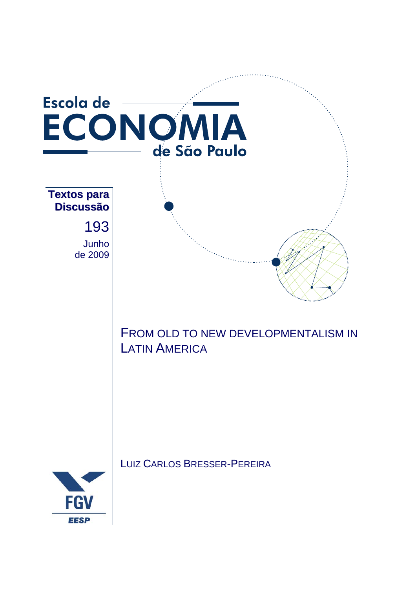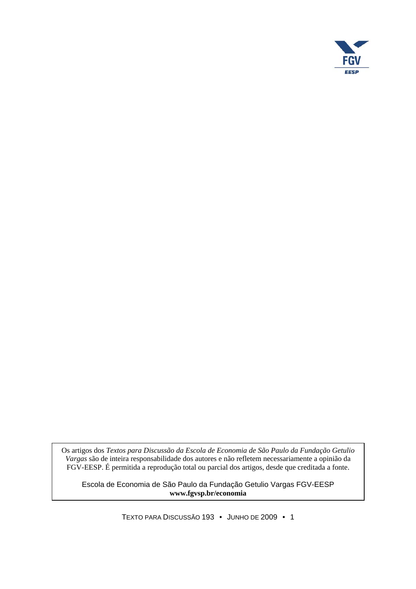

Os artigos dos *Textos para Discussão da Escola de Economia de São Paulo da Fundação Getulio Vargas* são de inteira responsabilidade dos autores e não refletem necessariamente a opinião da FGV-EESP. É permitida a reprodução total ou parcial dos artigos, desde que creditada a fonte.

Escola de Economia de São Paulo da Fundação Getulio Vargas FGV-EESP **www.fgvsp.br/economia** 

TEXTO PARA DISCUSSÃO 193 • JUNHO DE 2009 • 1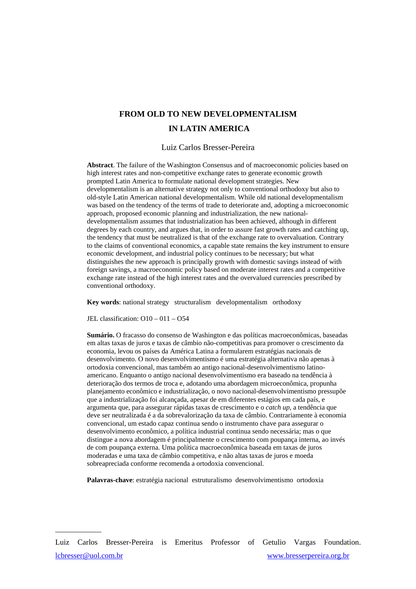# **FROM OLD TO NEW DEVELOPMENTALISM IN LATIN AMERICA**

Luiz Carlos Bresser-Pereira

**Abstract**. The failure of the Washington Consensus and of macroeconomic policies based on high interest rates and non-competitive exchange rates to generate economic growth prompted Latin America to formulate national development strategies. New developmentalism is an alternative strategy not only to conventional orthodoxy but also to old-style Latin American national developmentalism. While old national developmentalism was based on the tendency of the terms of trade to deteriorate and, adopting a microeconomic approach, proposed economic planning and industrialization, the new nationaldevelopmentalism assumes that industrialization has been achieved, although in different degrees by each country, and argues that, in order to assure fast growth rates and catching up, the tendency that must be neutralized is that of the exchange rate to overvaluation. Contrary to the claims of conventional economics, a capable state remains the key instrument to ensure economic development, and industrial policy continues to be necessary; but what distinguishes the new approach is principally growth with domestic savings instead of with foreign savings, a macroeconomic policy based on moderate interest rates and a competitive exchange rate instead of the high interest rates and the overvalued currencies prescribed by conventional orthodoxy.

**Key words**: national strategy structuralism developmentalism orthodoxy

JEL classification: O10 – 011 – O54

\_\_\_\_\_\_\_\_\_\_\_\_

**Sumário.** O fracasso do consenso de Washington e das políticas macroeconômicas, baseadas em altas taxas de juros e taxas de câmbio não-competitivas para promover o crescimento da economia, levou os países da América Latina a formularem estratégias nacionais de desenvolvimento. O novo desenvolvimentismo é uma estratégia alternativa não apenas à ortodoxia convencional, mas também ao antigo nacional-desenvolvimentismo latinoamericano. Enquanto o antigo nacional desenvolvimentismo era baseado na tendência à deterioração dos termos de troca e, adotando uma abordagem microeconômica, propunha planejamento econômico e industrialização, o novo nacional-desenvolvimentismo pressupõe que a industrialização foi alcançada, apesar de em diferentes estágios em cada país, e argumenta que, para assegurar rápidas taxas de crescimento e o *catch up*, a tendência que deve ser neutralizada é a da sobrevalorização da taxa de câmbio. Contrariamente à economia convencional, um estado capaz continua sendo o instrumento chave para assegurar o desenvolvimento econômico, a política industrial continua sendo necessária; mas o que distingue a nova abordagem é principalmente o crescimento com poupança interna, ao invés de com poupança externa. Uma política macroeconômica baseada em taxas de juros moderadas e uma taxa de câmbio competitiva, e não altas taxas de juros e moeda sobreapreciada conforme recomenda a ortodoxia convencional.

**Palavras-chave**: estratégia nacional estruturalismo desenvolvimentismo ortodoxia

Luiz Carlos Bresser-Pereira is Emeritus Professor of Getulio Vargas Foundation. lcbresser@uol.com.br www.bresserpereira.org.br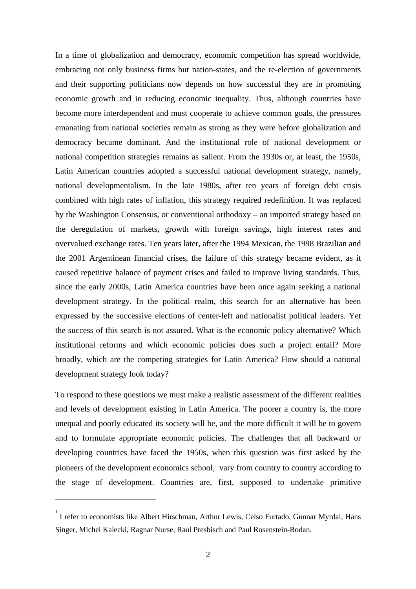In a time of globalization and democracy, economic competition has spread worldwide, embracing not only business firms but nation-states, and the re-election of governments and their supporting politicians now depends on how successful they are in promoting economic growth and in reducing economic inequality. Thus, although countries have become more interdependent and must cooperate to achieve common goals, the pressures emanating from national societies remain as strong as they were before globalization and democracy became dominant. And the institutional role of national development or national competition strategies remains as salient. From the 1930s or, at least, the 1950s, Latin American countries adopted a successful national development strategy, namely, national developmentalism. In the late 1980s, after ten years of foreign debt crisis combined with high rates of inflation, this strategy required redefinition. It was replaced by the Washington Consensus, or conventional orthodoxy – an imported strategy based on the deregulation of markets, growth with foreign savings, high interest rates and overvalued exchange rates. Ten years later, after the 1994 Mexican, the 1998 Brazilian and the 2001 Argentinean financial crises, the failure of this strategy became evident, as it caused repetitive balance of payment crises and failed to improve living standards. Thus, since the early 2000s, Latin America countries have been once again seeking a national development strategy. In the political realm, this search for an alternative has been expressed by the successive elections of center-left and nationalist political leaders. Yet the success of this search is not assured. What is the economic policy alternative? Which institutional reforms and which economic policies does such a project entail? More broadly, which are the competing strategies for Latin America? How should a national development strategy look today?

To respond to these questions we must make a realistic assessment of the different realities and levels of development existing in Latin America. The poorer a country is, the more unequal and poorly educated its society will be, and the more difficult it will be to govern and to formulate appropriate economic policies. The challenges that all backward or developing countries have faced the 1950s, when this question was first asked by the pioneers of the development economics school, vary from country to country according to the stage of development. Countries are, first, supposed to undertake primitive

<sup>&</sup>lt;sup>1</sup> I refer to economists like Albert Hirschman, Arthur Lewis, Celso Furtado, Gunnar Myrdal, Hans Singer, Michel Kalecki, Ragnar Nurse, Raul Presbisch and Paul Rosenstein-Rodan.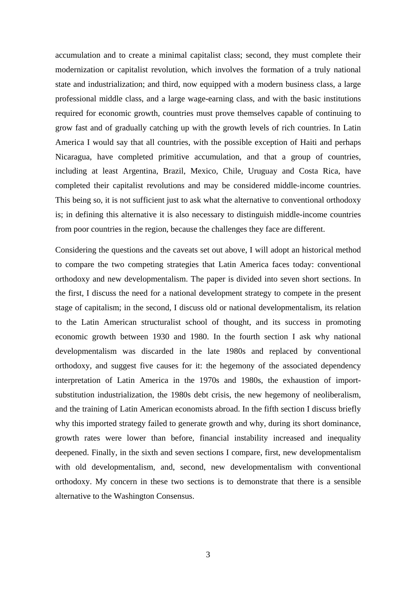accumulation and to create a minimal capitalist class; second, they must complete their modernization or capitalist revolution, which involves the formation of a truly national state and industrialization; and third, now equipped with a modern business class, a large professional middle class, and a large wage-earning class, and with the basic institutions required for economic growth, countries must prove themselves capable of continuing to grow fast and of gradually catching up with the growth levels of rich countries. In Latin America I would say that all countries, with the possible exception of Haiti and perhaps Nicaragua, have completed primitive accumulation, and that a group of countries, including at least Argentina, Brazil, Mexico, Chile, Uruguay and Costa Rica, have completed their capitalist revolutions and may be considered middle-income countries. This being so, it is not sufficient just to ask what the alternative to conventional orthodoxy is; in defining this alternative it is also necessary to distinguish middle-income countries from poor countries in the region, because the challenges they face are different.

Considering the questions and the caveats set out above, I will adopt an historical method to compare the two competing strategies that Latin America faces today: conventional orthodoxy and new developmentalism. The paper is divided into seven short sections. In the first, I discuss the need for a national development strategy to compete in the present stage of capitalism; in the second, I discuss old or national developmentalism, its relation to the Latin American structuralist school of thought, and its success in promoting economic growth between 1930 and 1980. In the fourth section I ask why national developmentalism was discarded in the late 1980s and replaced by conventional orthodoxy, and suggest five causes for it: the hegemony of the associated dependency interpretation of Latin America in the 1970s and 1980s, the exhaustion of importsubstitution industrialization, the 1980s debt crisis, the new hegemony of neoliberalism, and the training of Latin American economists abroad. In the fifth section I discuss briefly why this imported strategy failed to generate growth and why, during its short dominance, growth rates were lower than before, financial instability increased and inequality deepened. Finally, in the sixth and seven sections I compare, first, new developmentalism with old developmentalism, and, second, new developmentalism with conventional orthodoxy. My concern in these two sections is to demonstrate that there is a sensible alternative to the Washington Consensus.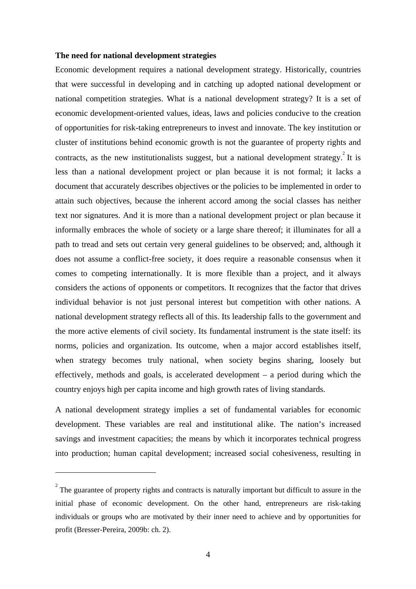#### **The need for national development strategies**

Economic development requires a national development strategy. Historically, countries that were successful in developing and in catching up adopted national development or national competition strategies. What is a national development strategy? It is a set of economic development-oriented values, ideas, laws and policies conducive to the creation of opportunities for risk-taking entrepreneurs to invest and innovate. The key institution or cluster of institutions behind economic growth is not the guarantee of property rights and contracts, as the new institutionalists suggest, but a national development strategy. It is less than a national development project or plan because it is not formal; it lacks a document that accurately describes objectives or the policies to be implemented in order to attain such objectives, because the inherent accord among the social classes has neither text nor signatures. And it is more than a national development project or plan because it informally embraces the whole of society or a large share thereof; it illuminates for all a path to tread and sets out certain very general guidelines to be observed; and, although it does not assume a conflict-free society, it does require a reasonable consensus when it comes to competing internationally. It is more flexible than a project, and it always considers the actions of opponents or competitors. It recognizes that the factor that drives individual behavior is not just personal interest but competition with other nations. A national development strategy reflects all of this. Its leadership falls to the government and the more active elements of civil society. Its fundamental instrument is the state itself: its norms, policies and organization. Its outcome, when a major accord establishes itself, when strategy becomes truly national, when society begins sharing, loosely but effectively, methods and goals, is accelerated development – a period during which the country enjoys high per capita income and high growth rates of living standards.

A national development strategy implies a set of fundamental variables for economic development. These variables are real and institutional alike. The nation's increased savings and investment capacities; the means by which it incorporates technical progress into production; human capital development; increased social cohesiveness, resulting in

 $2^{2}$  The guarantee of property rights and contracts is naturally important but difficult to assure in the initial phase of economic development. On the other hand, entrepreneurs are risk-taking individuals or groups who are motivated by their inner need to achieve and by opportunities for profit (Bresser-Pereira, 2009b: ch. 2).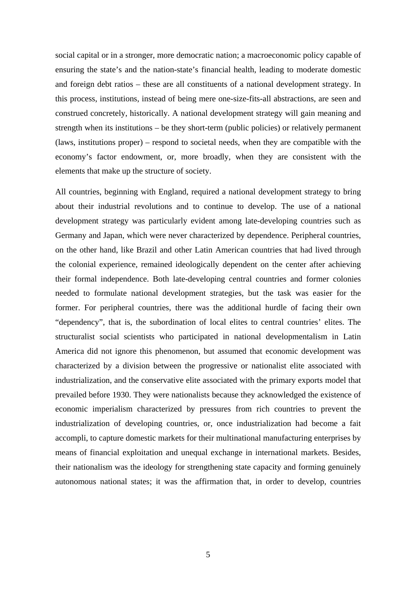social capital or in a stronger, more democratic nation; a macroeconomic policy capable of ensuring the state's and the nation-state's financial health, leading to moderate domestic and foreign debt ratios – these are all constituents of a national development strategy. In this process, institutions, instead of being mere one-size-fits-all abstractions, are seen and construed concretely, historically. A national development strategy will gain meaning and strength when its institutions – be they short-term (public policies) or relatively permanent (laws, institutions proper) – respond to societal needs, when they are compatible with the economy's factor endowment, or, more broadly, when they are consistent with the elements that make up the structure of society.

All countries, beginning with England, required a national development strategy to bring about their industrial revolutions and to continue to develop. The use of a national development strategy was particularly evident among late-developing countries such as Germany and Japan, which were never characterized by dependence. Peripheral countries, on the other hand, like Brazil and other Latin American countries that had lived through the colonial experience, remained ideologically dependent on the center after achieving their formal independence. Both late-developing central countries and former colonies needed to formulate national development strategies, but the task was easier for the former. For peripheral countries, there was the additional hurdle of facing their own "dependency", that is, the subordination of local elites to central countries' elites. The structuralist social scientists who participated in national developmentalism in Latin America did not ignore this phenomenon, but assumed that economic development was characterized by a division between the progressive or nationalist elite associated with industrialization, and the conservative elite associated with the primary exports model that prevailed before 1930. They were nationalists because they acknowledged the existence of economic imperialism characterized by pressures from rich countries to prevent the industrialization of developing countries, or, once industrialization had become a fait accompli, to capture domestic markets for their multinational manufacturing enterprises by means of financial exploitation and unequal exchange in international markets. Besides, their nationalism was the ideology for strengthening state capacity and forming genuinely autonomous national states; it was the affirmation that, in order to develop, countries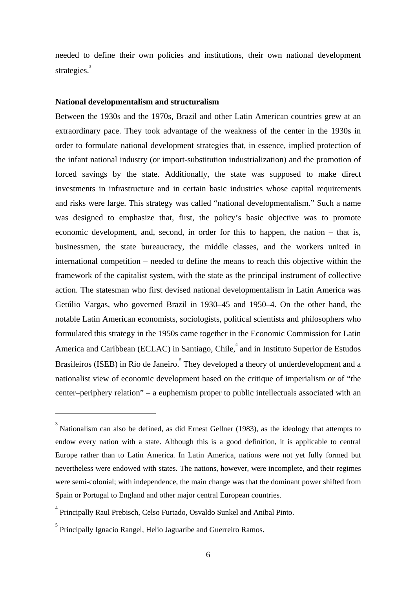needed to define their own policies and institutions, their own national development strategies.<sup>3</sup>

#### **National developmentalism and structuralism**

Between the 1930s and the 1970s, Brazil and other Latin American countries grew at an extraordinary pace. They took advantage of the weakness of the center in the 1930s in order to formulate national development strategies that, in essence, implied protection of the infant national industry (or import-substitution industrialization) and the promotion of forced savings by the state. Additionally, the state was supposed to make direct investments in infrastructure and in certain basic industries whose capital requirements and risks were large. This strategy was called "national developmentalism." Such a name was designed to emphasize that, first, the policy's basic objective was to promote economic development, and, second, in order for this to happen, the nation – that is, businessmen, the state bureaucracy, the middle classes, and the workers united in international competition – needed to define the means to reach this objective within the framework of the capitalist system, with the state as the principal instrument of collective action. The statesman who first devised national developmentalism in Latin America was Getúlio Vargas, who governed Brazil in 1930–45 and 1950–4. On the other hand, the notable Latin American economists, sociologists, political scientists and philosophers who formulated this strategy in the 1950s came together in the Economic Commission for Latin America and Caribbean (ECLAC) in Santiago, Chile,  $^{4}$  and in Instituto Superior de Estudos Brasileiros (ISEB) in Rio de Janeiro. They developed a theory of underdevelopment and a nationalist view of economic development based on the critique of imperialism or of "the center–periphery relation" – a euphemism proper to public intellectuals associated with an

 $3$  Nationalism can also be defined, as did Ernest Gellner (1983), as the ideology that attempts to endow every nation with a state. Although this is a good definition, it is applicable to central Europe rather than to Latin America. In Latin America, nations were not yet fully formed but nevertheless were endowed with states. The nations, however, were incomplete, and their regimes were semi-colonial; with independence, the main change was that the dominant power shifted from Spain or Portugal to England and other major central European countries.

<sup>4</sup> Principally Raul Prebisch, Celso Furtado, Osvaldo Sunkel and Anibal Pinto.

 $<sup>5</sup>$  Principally Ignacio Rangel, Helio Jaguaribe and Guerreiro Ramos.</sup>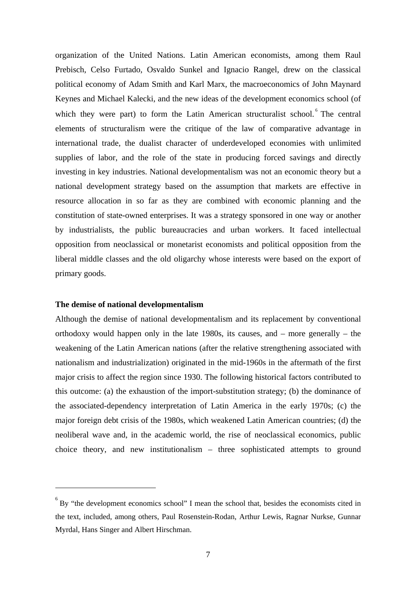organization of the United Nations. Latin American economists, among them Raul Prebisch, Celso Furtado, Osvaldo Sunkel and Ignacio Rangel, drew on the classical political economy of Adam Smith and Karl Marx, the macroeconomics of John Maynard Keynes and Michael Kalecki, and the new ideas of the development economics school (of which they were part) to form the Latin American structuralist school.<sup>6</sup> The central elements of structuralism were the critique of the law of comparative advantage in international trade, the dualist character of underdeveloped economies with unlimited supplies of labor, and the role of the state in producing forced savings and directly investing in key industries. National developmentalism was not an economic theory but a national development strategy based on the assumption that markets are effective in resource allocation in so far as they are combined with economic planning and the constitution of state-owned enterprises. It was a strategy sponsored in one way or another by industrialists, the public bureaucracies and urban workers. It faced intellectual opposition from neoclassical or monetarist economists and political opposition from the liberal middle classes and the old oligarchy whose interests were based on the export of primary goods.

## **The demise of national developmentalism**

 $\overline{a}$ 

Although the demise of national developmentalism and its replacement by conventional orthodoxy would happen only in the late 1980s, its causes, and – more generally – the weakening of the Latin American nations (after the relative strengthening associated with nationalism and industrialization) originated in the mid-1960s in the aftermath of the first major crisis to affect the region since 1930. The following historical factors contributed to this outcome: (a) the exhaustion of the import-substitution strategy; (b) the dominance of the associated-dependency interpretation of Latin America in the early 1970s; (c) the major foreign debt crisis of the 1980s, which weakened Latin American countries; (d) the neoliberal wave and, in the academic world, the rise of neoclassical economics, public choice theory, and new institutionalism – three sophisticated attempts to ground

 $6$  By "the development economics school" I mean the school that, besides the economists cited in the text, included, among others, Paul Rosenstein-Rodan, Arthur Lewis, Ragnar Nurkse, Gunnar Myrdal, Hans Singer and Albert Hirschman.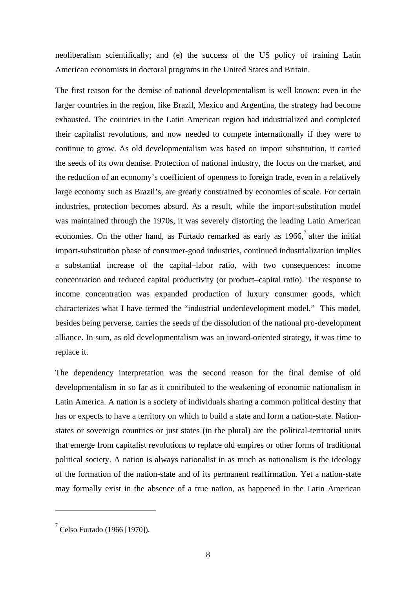neoliberalism scientifically; and (e) the success of the US policy of training Latin American economists in doctoral programs in the United States and Britain.

The first reason for the demise of national developmentalism is well known: even in the larger countries in the region, like Brazil, Mexico and Argentina, the strategy had become exhausted. The countries in the Latin American region had industrialized and completed their capitalist revolutions, and now needed to compete internationally if they were to continue to grow. As old developmentalism was based on import substitution, it carried the seeds of its own demise. Protection of national industry, the focus on the market, and the reduction of an economy's coefficient of openness to foreign trade, even in a relatively large economy such as Brazil's, are greatly constrained by economies of scale. For certain industries, protection becomes absurd. As a result, while the import-substitution model was maintained through the 1970s, it was severely distorting the leading Latin American economies. On the other hand, as Furtado remarked as early as  $1966$ , after the initial import-substitution phase of consumer-good industries, continued industrialization implies a substantial increase of the capital–labor ratio, with two consequences: income concentration and reduced capital productivity (or product–capital ratio). The response to income concentration was expanded production of luxury consumer goods, which characterizes what I have termed the "industrial underdevelopment model." This model, besides being perverse, carries the seeds of the dissolution of the national pro-development alliance. In sum, as old developmentalism was an inward-oriented strategy, it was time to replace it.

The dependency interpretation was the second reason for the final demise of old developmentalism in so far as it contributed to the weakening of economic nationalism in Latin America. A nation is a society of individuals sharing a common political destiny that has or expects to have a territory on which to build a state and form a nation-state. Nationstates or sovereign countries or just states (in the plural) are the political-territorial units that emerge from capitalist revolutions to replace old empires or other forms of traditional political society. A nation is always nationalist in as much as nationalism is the ideology of the formation of the nation-state and of its permanent reaffirmation. Yet a nation-state may formally exist in the absence of a true nation, as happened in the Latin American

 $1^{7}$  Celso Furtado (1966 [1970]).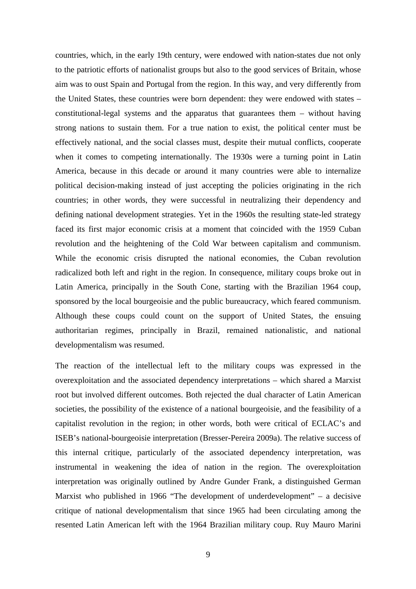countries, which, in the early 19th century, were endowed with nation-states due not only to the patriotic efforts of nationalist groups but also to the good services of Britain, whose aim was to oust Spain and Portugal from the region. In this way, and very differently from the United States, these countries were born dependent: they were endowed with states – constitutional-legal systems and the apparatus that guarantees them – without having strong nations to sustain them. For a true nation to exist, the political center must be effectively national, and the social classes must, despite their mutual conflicts, cooperate when it comes to competing internationally. The 1930s were a turning point in Latin America, because in this decade or around it many countries were able to internalize political decision-making instead of just accepting the policies originating in the rich countries; in other words, they were successful in neutralizing their dependency and defining national development strategies. Yet in the 1960s the resulting state-led strategy faced its first major economic crisis at a moment that coincided with the 1959 Cuban revolution and the heightening of the Cold War between capitalism and communism. While the economic crisis disrupted the national economies, the Cuban revolution radicalized both left and right in the region. In consequence, military coups broke out in Latin America, principally in the South Cone, starting with the Brazilian 1964 coup, sponsored by the local bourgeoisie and the public bureaucracy, which feared communism. Although these coups could count on the support of United States, the ensuing authoritarian regimes, principally in Brazil, remained nationalistic, and national developmentalism was resumed.

The reaction of the intellectual left to the military coups was expressed in the overexploitation and the associated dependency interpretations – which shared a Marxist root but involved different outcomes. Both rejected the dual character of Latin American societies, the possibility of the existence of a national bourgeoisie, and the feasibility of a capitalist revolution in the region; in other words, both were critical of ECLAC's and ISEB's national-bourgeoisie interpretation (Bresser-Pereira 2009a). The relative success of this internal critique, particularly of the associated dependency interpretation, was instrumental in weakening the idea of nation in the region. The overexploitation interpretation was originally outlined by Andre Gunder Frank, a distinguished German Marxist who published in 1966 "The development of underdevelopment" – a decisive critique of national developmentalism that since 1965 had been circulating among the resented Latin American left with the 1964 Brazilian military coup. Ruy Mauro Marini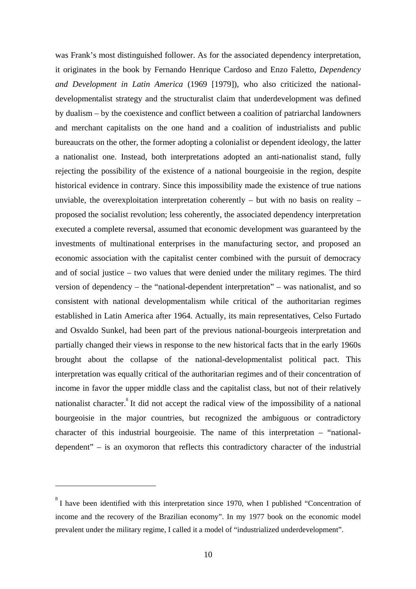was Frank's most distinguished follower. As for the associated dependency interpretation, it originates in the book by Fernando Henrique Cardoso and Enzo Faletto, *Dependency and Development in Latin America* (1969 [1979]), who also criticized the nationaldevelopmentalist strategy and the structuralist claim that underdevelopment was defined by dualism – by the coexistence and conflict between a coalition of patriarchal landowners and merchant capitalists on the one hand and a coalition of industrialists and public bureaucrats on the other, the former adopting a colonialist or dependent ideology, the latter a nationalist one. Instead, both interpretations adopted an anti-nationalist stand, fully rejecting the possibility of the existence of a national bourgeoisie in the region, despite historical evidence in contrary. Since this impossibility made the existence of true nations unviable, the overexploitation interpretation coherently – but with no basis on reality – proposed the socialist revolution; less coherently, the associated dependency interpretation executed a complete reversal, assumed that economic development was guaranteed by the investments of multinational enterprises in the manufacturing sector, and proposed an economic association with the capitalist center combined with the pursuit of democracy and of social justice – two values that were denied under the military regimes. The third version of dependency – the "national-dependent interpretation" – was nationalist, and so consistent with national developmentalism while critical of the authoritarian regimes established in Latin America after 1964. Actually, its main representatives, Celso Furtado and Osvaldo Sunkel, had been part of the previous national-bourgeois interpretation and partially changed their views in response to the new historical facts that in the early 1960s brought about the collapse of the national-developmentalist political pact. This interpretation was equally critical of the authoritarian regimes and of their concentration of income in favor the upper middle class and the capitalist class, but not of their relatively nationalist character.<sup>8</sup> It did not accept the radical view of the impossibility of a national bourgeoisie in the major countries, but recognized the ambiguous or contradictory character of this industrial bourgeoisie. The name of this interpretation – "nationaldependent" – is an oxymoron that reflects this contradictory character of the industrial

 $8<sup>8</sup>$  I have been identified with this interpretation since 1970, when I published "Concentration of income and the recovery of the Brazilian economy". In my 1977 book on the economic model prevalent under the military regime, I called it a model of "industrialized underdevelopment".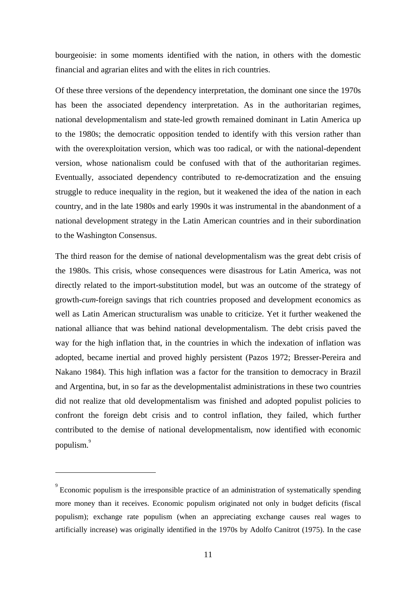bourgeoisie: in some moments identified with the nation, in others with the domestic financial and agrarian elites and with the elites in rich countries.

Of these three versions of the dependency interpretation, the dominant one since the 1970s has been the associated dependency interpretation. As in the authoritarian regimes, national developmentalism and state-led growth remained dominant in Latin America up to the 1980s; the democratic opposition tended to identify with this version rather than with the overexploitation version, which was too radical, or with the national-dependent version, whose nationalism could be confused with that of the authoritarian regimes. Eventually, associated dependency contributed to re-democratization and the ensuing struggle to reduce inequality in the region, but it weakened the idea of the nation in each country, and in the late 1980s and early 1990s it was instrumental in the abandonment of a national development strategy in the Latin American countries and in their subordination to the Washington Consensus.

The third reason for the demise of national developmentalism was the great debt crisis of the 1980s. This crisis, whose consequences were disastrous for Latin America, was not directly related to the import-substitution model, but was an outcome of the strategy of growth-*cum*-foreign savings that rich countries proposed and development economics as well as Latin American structuralism was unable to criticize. Yet it further weakened the national alliance that was behind national developmentalism. The debt crisis paved the way for the high inflation that, in the countries in which the indexation of inflation was adopted, became inertial and proved highly persistent (Pazos 1972; Bresser-Pereira and Nakano 1984). This high inflation was a factor for the transition to democracy in Brazil and Argentina, but, in so far as the developmentalist administrations in these two countries did not realize that old developmentalism was finished and adopted populist policies to confront the foreign debt crisis and to control inflation, they failed, which further contributed to the demise of national developmentalism, now identified with economic populism.<sup>9</sup>

<sup>&</sup>lt;sup>9</sup> Economic populism is the irresponsible practice of an administration of systematically spending more money than it receives. Economic populism originated not only in budget deficits (fiscal populism); exchange rate populism (when an appreciating exchange causes real wages to artificially increase) was originally identified in the 1970s by Adolfo Canitrot (1975). In the case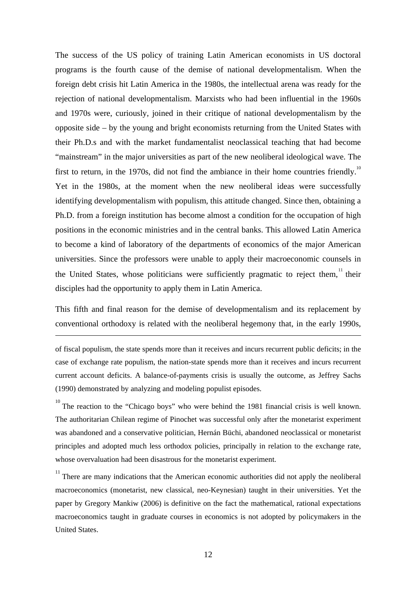The success of the US policy of training Latin American economists in US doctoral programs is the fourth cause of the demise of national developmentalism. When the foreign debt crisis hit Latin America in the 1980s, the intellectual arena was ready for the rejection of national developmentalism. Marxists who had been influential in the 1960s and 1970s were, curiously, joined in their critique of national developmentalism by the opposite side – by the young and bright economists returning from the United States with their Ph.D.s and with the market fundamentalist neoclassical teaching that had become "mainstream" in the major universities as part of the new neoliberal ideological wave. The first to return, in the 1970s, did not find the ambiance in their home countries friendly.<sup>10</sup> Yet in the 1980s, at the moment when the new neoliberal ideas were successfully identifying developmentalism with populism, this attitude changed. Since then, obtaining a Ph.D. from a foreign institution has become almost a condition for the occupation of high positions in the economic ministries and in the central banks. This allowed Latin America to become a kind of laboratory of the departments of economics of the major American universities. Since the professors were unable to apply their macroeconomic counsels in the United States, whose politicians were sufficiently pragmatic to reject them,  $11$  their disciples had the opportunity to apply them in Latin America.

This fifth and final reason for the demise of developmentalism and its replacement by conventional orthodoxy is related with the neoliberal hegemony that, in the early 1990s,

 $\overline{a}$ 

 $10^{10}$  The reaction to the "Chicago boys" who were behind the 1981 financial crisis is well known. The authoritarian Chilean regime of Pinochet was successful only after the monetarist experiment was abandoned and a conservative politician, Hernán Büchi, abandoned neoclassical or monetarist principles and adopted much less orthodox policies, principally in relation to the exchange rate, whose overvaluation had been disastrous for the monetarist experiment.

<sup>11</sup> There are many indications that the American economic authorities did not apply the neoliberal macroeconomics (monetarist, new classical, neo-Keynesian) taught in their universities. Yet the paper by Gregory Mankiw (2006) is definitive on the fact the mathematical, rational expectations macroeconomics taught in graduate courses in economics is not adopted by policymakers in the United States.

of fiscal populism, the state spends more than it receives and incurs recurrent public deficits; in the case of exchange rate populism, the nation-state spends more than it receives and incurs recurrent current account deficits. A balance-of-payments crisis is usually the outcome, as Jeffrey Sachs (1990) demonstrated by analyzing and modeling populist episodes.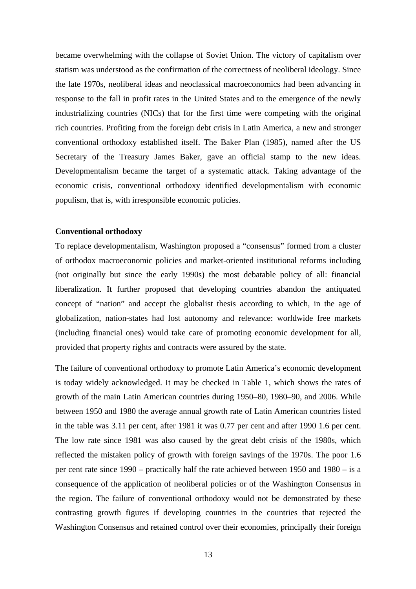became overwhelming with the collapse of Soviet Union. The victory of capitalism over statism was understood as the confirmation of the correctness of neoliberal ideology. Since the late 1970s, neoliberal ideas and neoclassical macroeconomics had been advancing in response to the fall in profit rates in the United States and to the emergence of the newly industrializing countries (NICs) that for the first time were competing with the original rich countries. Profiting from the foreign debt crisis in Latin America, a new and stronger conventional orthodoxy established itself. The Baker Plan (1985), named after the US Secretary of the Treasury James Baker, gave an official stamp to the new ideas. Developmentalism became the target of a systematic attack. Taking advantage of the economic crisis, conventional orthodoxy identified developmentalism with economic populism, that is, with irresponsible economic policies.

#### **Conventional orthodoxy**

To replace developmentalism, Washington proposed a "consensus" formed from a cluster of orthodox macroeconomic policies and market-oriented institutional reforms including (not originally but since the early 1990s) the most debatable policy of all: financial liberalization. It further proposed that developing countries abandon the antiquated concept of "nation" and accept the globalist thesis according to which, in the age of globalization, nation-states had lost autonomy and relevance: worldwide free markets (including financial ones) would take care of promoting economic development for all, provided that property rights and contracts were assured by the state.

The failure of conventional orthodoxy to promote Latin America's economic development is today widely acknowledged. It may be checked in Table 1, which shows the rates of growth of the main Latin American countries during 1950–80, 1980–90, and 2006. While between 1950 and 1980 the average annual growth rate of Latin American countries listed in the table was 3.11 per cent, after 1981 it was 0.77 per cent and after 1990 1.6 per cent. The low rate since 1981 was also caused by the great debt crisis of the 1980s, which reflected the mistaken policy of growth with foreign savings of the 1970s. The poor 1.6 per cent rate since 1990 – practically half the rate achieved between 1950 and 1980 – is a consequence of the application of neoliberal policies or of the Washington Consensus in the region. The failure of conventional orthodoxy would not be demonstrated by these contrasting growth figures if developing countries in the countries that rejected the Washington Consensus and retained control over their economies, principally their foreign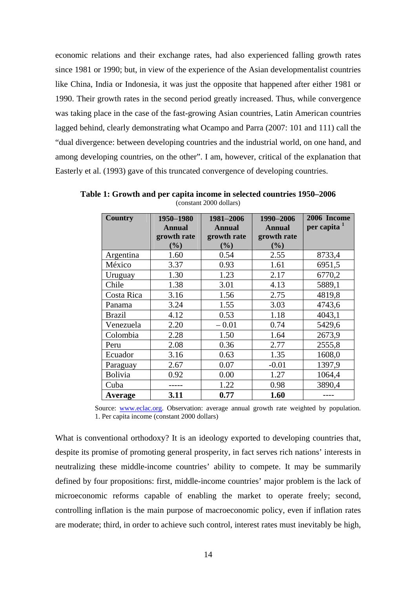economic relations and their exchange rates, had also experienced falling growth rates since 1981 or 1990; but, in view of the experience of the Asian developmentalist countries like China, India or Indonesia, it was just the opposite that happened after either 1981 or 1990. Their growth rates in the second period greatly increased. Thus, while convergence was taking place in the case of the fast-growing Asian countries, Latin American countries lagged behind, clearly demonstrating what Ocampo and Parra (2007: 101 and 111) call the "dual divergence: between developing countries and the industrial world, on one hand, and among developing countries, on the other". I am, however, critical of the explanation that Easterly et al. (1993) gave of this truncated convergence of developing countries.

| <b>Country</b> | 1950-1980<br><b>Annual</b> | 1981-2006<br><b>Annual</b> | 1990-2006<br><b>Annual</b> | 2006 Income<br>per capita <sup>1</sup> |
|----------------|----------------------------|----------------------------|----------------------------|----------------------------------------|
|                | growth rate<br>$(\%)$      | growth rate<br>$(\%)$      | growth rate<br>$(\%)$      |                                        |
| Argentina      | 1.60                       | 0.54                       | 2.55                       | 8733,4                                 |
| México         | 3.37                       | 0.93                       | 1.61                       | 6951,5                                 |
| Uruguay        | 1.30                       | 1.23                       | 2.17                       | 6770,2                                 |
| Chile          | 1.38                       | 3.01                       | 4.13                       | 5889,1                                 |
| Costa Rica     | 3.16                       | 1.56                       | 2.75                       | 4819,8                                 |
| Panama         | 3.24                       | 1.55                       | 3.03                       | 4743,6                                 |
| <b>Brazil</b>  | 4.12                       | 0.53                       | 1.18                       | 4043,1                                 |
| Venezuela      | 2.20                       | $-0.01$                    | 0.74                       | 5429,6                                 |
| Colombia       | 2.28                       | 1.50                       | 1.64                       | 2673,9                                 |
| Peru           | 2.08                       | 0.36                       | 2.77                       | 2555,8                                 |
| Ecuador        | 3.16                       | 0.63                       | 1.35                       | 1608,0                                 |
| Paraguay       | 2.67                       | 0.07                       | $-0.01$                    | 1397,9                                 |
| Bolivia        | 0.92                       | 0.00                       | 1.27                       | 1064,4                                 |
| Cuba           |                            | 1.22                       | 0.98                       | 3890,4                                 |
| Average        | 3.11                       | 0.77                       | 1.60                       |                                        |

**Table 1: Growth and per capita income in selected countries 1950–2006**  (constant 2000 dollars)

Source: www.eclac.org. Observation: average annual growth rate weighted by population. 1. Per capita income (constant 2000 dollars)

What is conventional orthodoxy? It is an ideology exported to developing countries that, despite its promise of promoting general prosperity, in fact serves rich nations' interests in neutralizing these middle-income countries' ability to compete. It may be summarily defined by four propositions: first, middle-income countries' major problem is the lack of microeconomic reforms capable of enabling the market to operate freely; second, controlling inflation is the main purpose of macroeconomic policy, even if inflation rates are moderate; third, in order to achieve such control, interest rates must inevitably be high,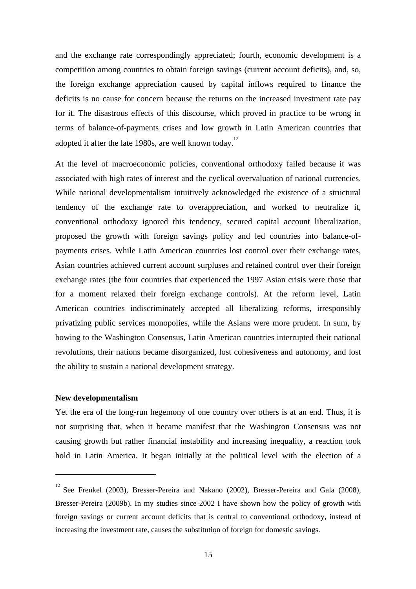and the exchange rate correspondingly appreciated; fourth, economic development is a competition among countries to obtain foreign savings (current account deficits), and, so, the foreign exchange appreciation caused by capital inflows required to finance the deficits is no cause for concern because the returns on the increased investment rate pay for it. The disastrous effects of this discourse, which proved in practice to be wrong in terms of balance-of-payments crises and low growth in Latin American countries that adopted it after the late 1980s, are well known today.<sup>12</sup>

At the level of macroeconomic policies, conventional orthodoxy failed because it was associated with high rates of interest and the cyclical overvaluation of national currencies. While national developmentalism intuitively acknowledged the existence of a structural tendency of the exchange rate to overappreciation, and worked to neutralize it, conventional orthodoxy ignored this tendency, secured capital account liberalization, proposed the growth with foreign savings policy and led countries into balance-ofpayments crises. While Latin American countries lost control over their exchange rates, Asian countries achieved current account surpluses and retained control over their foreign exchange rates (the four countries that experienced the 1997 Asian crisis were those that for a moment relaxed their foreign exchange controls). At the reform level, Latin American countries indiscriminately accepted all liberalizing reforms, irresponsibly privatizing public services monopolies, while the Asians were more prudent. In sum, by bowing to the Washington Consensus, Latin American countries interrupted their national revolutions, their nations became disorganized, lost cohesiveness and autonomy, and lost the ability to sustain a national development strategy.

#### **New developmentalism**

 $\overline{a}$ 

Yet the era of the long-run hegemony of one country over others is at an end. Thus, it is not surprising that, when it became manifest that the Washington Consensus was not causing growth but rather financial instability and increasing inequality, a reaction took hold in Latin America. It began initially at the political level with the election of a

<sup>&</sup>lt;sup>12</sup> See Frenkel (2003), Bresser-Pereira and Nakano (2002), Bresser-Pereira and Gala (2008), Bresser-Pereira (2009b). In my studies since 2002 I have shown how the policy of growth with foreign savings or current account deficits that is central to conventional orthodoxy, instead of increasing the investment rate, causes the substitution of foreign for domestic savings.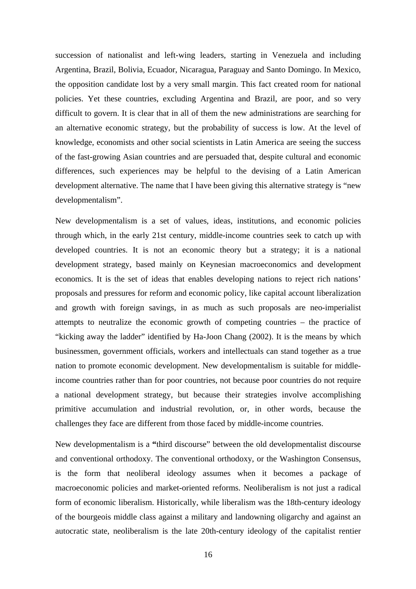succession of nationalist and left-wing leaders, starting in Venezuela and including Argentina, Brazil, Bolivia, Ecuador, Nicaragua, Paraguay and Santo Domingo. In Mexico, the opposition candidate lost by a very small margin. This fact created room for national policies. Yet these countries, excluding Argentina and Brazil, are poor, and so very difficult to govern. It is clear that in all of them the new administrations are searching for an alternative economic strategy, but the probability of success is low. At the level of knowledge, economists and other social scientists in Latin America are seeing the success of the fast-growing Asian countries and are persuaded that, despite cultural and economic differences, such experiences may be helpful to the devising of a Latin American development alternative. The name that I have been giving this alternative strategy is "new developmentalism".

New developmentalism is a set of values, ideas, institutions, and economic policies through which, in the early 21st century, middle-income countries seek to catch up with developed countries. It is not an economic theory but a strategy; it is a national development strategy, based mainly on Keynesian macroeconomics and development economics. It is the set of ideas that enables developing nations to reject rich nations' proposals and pressures for reform and economic policy, like capital account liberalization and growth with foreign savings, in as much as such proposals are neo-imperialist attempts to neutralize the economic growth of competing countries – the practice of "kicking away the ladder" identified by Ha-Joon Chang (2002). It is the means by which businessmen, government officials, workers and intellectuals can stand together as a true nation to promote economic development. New developmentalism is suitable for middleincome countries rather than for poor countries, not because poor countries do not require a national development strategy, but because their strategies involve accomplishing primitive accumulation and industrial revolution, or, in other words, because the challenges they face are different from those faced by middle-income countries.

New developmentalism is a **"**third discourse" between the old developmentalist discourse and conventional orthodoxy. The conventional orthodoxy, or the Washington Consensus, is the form that neoliberal ideology assumes when it becomes a package of macroeconomic policies and market-oriented reforms. Neoliberalism is not just a radical form of economic liberalism. Historically, while liberalism was the 18th-century ideology of the bourgeois middle class against a military and landowning oligarchy and against an autocratic state, neoliberalism is the late 20th-century ideology of the capitalist rentier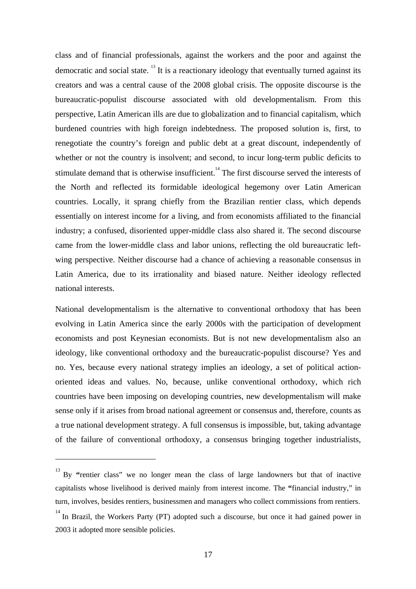class and of financial professionals, against the workers and the poor and against the democratic and social state.  $^{13}$  It is a reactionary ideology that eventually turned against its creators and was a central cause of the 2008 global crisis. The opposite discourse is the bureaucratic-populist discourse associated with old developmentalism. From this perspective, Latin American ills are due to globalization and to financial capitalism, which burdened countries with high foreign indebtedness. The proposed solution is, first, to renegotiate the country's foreign and public debt at a great discount, independently of whether or not the country is insolvent; and second, to incur long-term public deficits to stimulate demand that is otherwise insufficient.<sup>14</sup> The first discourse served the interests of the North and reflected its formidable ideological hegemony over Latin American countries. Locally, it sprang chiefly from the Brazilian rentier class, which depends essentially on interest income for a living, and from economists affiliated to the financial industry; a confused, disoriented upper-middle class also shared it. The second discourse came from the lower-middle class and labor unions, reflecting the old bureaucratic leftwing perspective. Neither discourse had a chance of achieving a reasonable consensus in Latin America, due to its irrationality and biased nature. Neither ideology reflected national interests.

National developmentalism is the alternative to conventional orthodoxy that has been evolving in Latin America since the early 2000s with the participation of development economists and post Keynesian economists. But is not new developmentalism also an ideology, like conventional orthodoxy and the bureaucratic-populist discourse? Yes and no. Yes, because every national strategy implies an ideology, a set of political actionoriented ideas and values. No, because, unlike conventional orthodoxy, which rich countries have been imposing on developing countries, new developmentalism will make sense only if it arises from broad national agreement or consensus and, therefore, counts as a true national development strategy. A full consensus is impossible, but, taking advantage of the failure of conventional orthodoxy, a consensus bringing together industrialists,

<sup>&</sup>lt;sup>13</sup> By "rentier class" we no longer mean the class of large landowners but that of inactive capitalists whose livelihood is derived mainly from interest income. The **"**financial industry," in turn, involves, besides rentiers, businessmen and managers who collect commissions from rentiers.

<sup>&</sup>lt;sup>14</sup> In Brazil, the Workers Party (PT) adopted such a discourse, but once it had gained power in 2003 it adopted more sensible policies.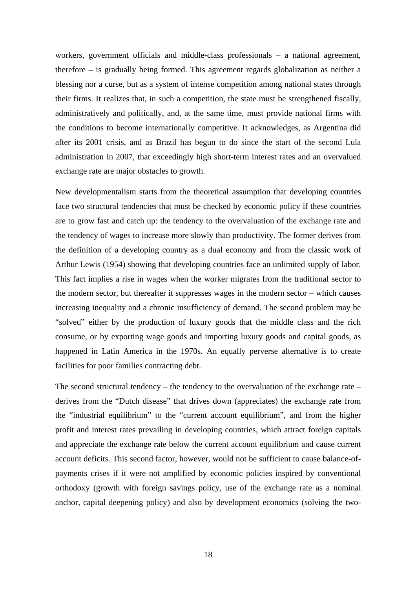workers, government officials and middle-class professionals – a national agreement, therefore – is gradually being formed. This agreement regards globalization as neither a blessing nor a curse, but as a system of intense competition among national states through their firms. It realizes that, in such a competition, the state must be strengthened fiscally, administratively and politically, and, at the same time, must provide national firms with the conditions to become internationally competitive. It acknowledges, as Argentina did after its 2001 crisis, and as Brazil has begun to do since the start of the second Lula administration in 2007, that exceedingly high short-term interest rates and an overvalued exchange rate are major obstacles to growth.

New developmentalism starts from the theoretical assumption that developing countries face two structural tendencies that must be checked by economic policy if these countries are to grow fast and catch up: the tendency to the overvaluation of the exchange rate and the tendency of wages to increase more slowly than productivity. The former derives from the definition of a developing country as a dual economy and from the classic work of Arthur Lewis (1954) showing that developing countries face an unlimited supply of labor. This fact implies a rise in wages when the worker migrates from the traditional sector to the modern sector, but thereafter it suppresses wages in the modern sector – which causes increasing inequality and a chronic insufficiency of demand. The second problem may be "solved" either by the production of luxury goods that the middle class and the rich consume, or by exporting wage goods and importing luxury goods and capital goods, as happened in Latin America in the 1970s. An equally perverse alternative is to create facilities for poor families contracting debt.

The second structural tendency – the tendency to the overvaluation of the exchange rate – derives from the "Dutch disease" that drives down (appreciates) the exchange rate from the "industrial equilibrium" to the "current account equilibrium", and from the higher profit and interest rates prevailing in developing countries, which attract foreign capitals and appreciate the exchange rate below the current account equilibrium and cause current account deficits. This second factor, however, would not be sufficient to cause balance-ofpayments crises if it were not amplified by economic policies inspired by conventional orthodoxy (growth with foreign savings policy, use of the exchange rate as a nominal anchor, capital deepening policy) and also by development economics (solving the two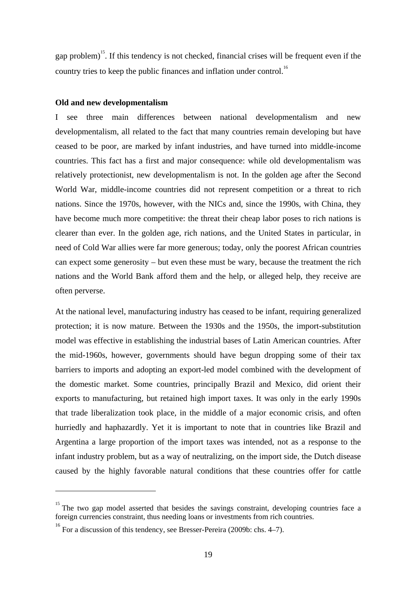gap problem)<sup>15</sup>. If this tendency is not checked, financial crises will be frequent even if the country tries to keep the public finances and inflation under control.<sup>16</sup>

# **Old and new developmentalism**

I see three main differences between national developmentalism and new developmentalism, all related to the fact that many countries remain developing but have ceased to be poor, are marked by infant industries, and have turned into middle-income countries. This fact has a first and major consequence: while old developmentalism was relatively protectionist, new developmentalism is not. In the golden age after the Second World War, middle-income countries did not represent competition or a threat to rich nations. Since the 1970s, however, with the NICs and, since the 1990s, with China, they have become much more competitive: the threat their cheap labor poses to rich nations is clearer than ever. In the golden age, rich nations, and the United States in particular, in need of Cold War allies were far more generous; today, only the poorest African countries can expect some generosity – but even these must be wary, because the treatment the rich nations and the World Bank afford them and the help, or alleged help, they receive are often perverse.

At the national level, manufacturing industry has ceased to be infant, requiring generalized protection; it is now mature. Between the 1930s and the 1950s, the import-substitution model was effective in establishing the industrial bases of Latin American countries. After the mid-1960s, however, governments should have begun dropping some of their tax barriers to imports and adopting an export-led model combined with the development of the domestic market. Some countries, principally Brazil and Mexico, did orient their exports to manufacturing, but retained high import taxes. It was only in the early 1990s that trade liberalization took place, in the middle of a major economic crisis, and often hurriedly and haphazardly. Yet it is important to note that in countries like Brazil and Argentina a large proportion of the import taxes was intended, not as a response to the infant industry problem, but as a way of neutralizing, on the import side, the Dutch disease caused by the highly favorable natural conditions that these countries offer for cattle

<sup>&</sup>lt;sup>15</sup> The two gap model asserted that besides the savings constraint, developing countries face a foreign currencies constraint, thus needing loans or investments from rich countries.

<sup>&</sup>lt;sup>16</sup> For a discussion of this tendency, see Bresser-Pereira (2009b: chs. 4–7).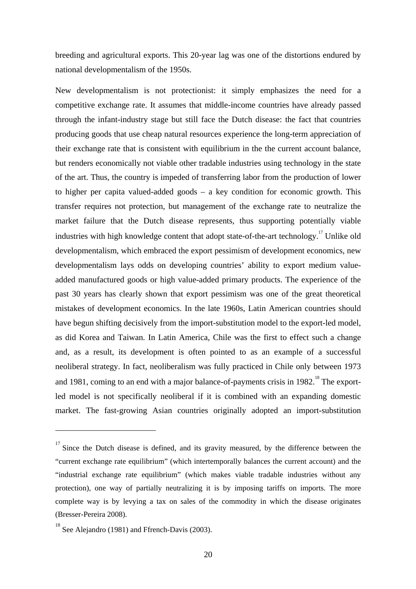breeding and agricultural exports. This 20-year lag was one of the distortions endured by national developmentalism of the 1950s.

New developmentalism is not protectionist: it simply emphasizes the need for a competitive exchange rate. It assumes that middle-income countries have already passed through the infant-industry stage but still face the Dutch disease: the fact that countries producing goods that use cheap natural resources experience the long-term appreciation of their exchange rate that is consistent with equilibrium in the the current account balance, but renders economically not viable other tradable industries using technology in the state of the art. Thus, the country is impeded of transferring labor from the production of lower to higher per capita valued-added goods – a key condition for economic growth. This transfer requires not protection, but management of the exchange rate to neutralize the market failure that the Dutch disease represents, thus supporting potentially viable industries with high knowledge content that adopt state-of-the-art technology.<sup>17</sup> Unlike old developmentalism, which embraced the export pessimism of development economics, new developmentalism lays odds on developing countries' ability to export medium valueadded manufactured goods or high value-added primary products. The experience of the past 30 years has clearly shown that export pessimism was one of the great theoretical mistakes of development economics. In the late 1960s, Latin American countries should have begun shifting decisively from the import-substitution model to the export-led model, as did Korea and Taiwan. In Latin America, Chile was the first to effect such a change and, as a result, its development is often pointed to as an example of a successful neoliberal strategy. In fact, neoliberalism was fully practiced in Chile only between 1973 and 1981, coming to an end with a major balance-of-payments crisis in 1982.<sup>18</sup> The exportled model is not specifically neoliberal if it is combined with an expanding domestic market. The fast-growing Asian countries originally adopted an import-substitution

 $17$  Since the Dutch disease is defined, and its gravity measured, by the difference between the "current exchange rate equilibrium" (which intertemporally balances the current account) and the "industrial exchange rate equilibrium" (which makes viable tradable industries without any protection), one way of partially neutralizing it is by imposing tariffs on imports. The more complete way is by levying a tax on sales of the commodity in which the disease originates (Bresser-Pereira 2008).

 $^{18}$  See Alejandro (1981) and Ffrench-Davis (2003).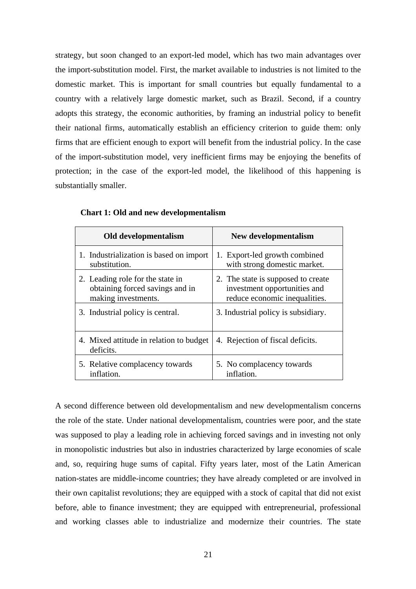strategy, but soon changed to an export-led model, which has two main advantages over the import-substitution model. First, the market available to industries is not limited to the domestic market. This is important for small countries but equally fundamental to a country with a relatively large domestic market, such as Brazil. Second, if a country adopts this strategy, the economic authorities, by framing an industrial policy to benefit their national firms, automatically establish an efficiency criterion to guide them: only firms that are efficient enough to export will benefit from the industrial policy. In the case of the import-substitution model, very inefficient firms may be enjoying the benefits of protection; in the case of the export-led model, the likelihood of this happening is substantially smaller.

| Old developmentalism                                 | New developmentalism                |
|------------------------------------------------------|-------------------------------------|
| 1. Industrialization is based on import              | 1. Export-led growth combined       |
| substitution.                                        | with strong domestic market.        |
| 2. Leading role for the state in                     | 2. The state is supposed to create  |
| obtaining forced savings and in                      | investment opportunities and        |
| making investments.                                  | reduce economic inequalities.       |
| 3. Industrial policy is central.                     | 3. Industrial policy is subsidiary. |
| 4. Mixed attitude in relation to budget<br>deficits. | 4. Rejection of fiscal deficits.    |
| 5. Relative complacency towards                      | 5. No complacency towards           |
| inflation.                                           | inflation.                          |

| <b>Chart 1: Old and new developmentalism</b> |  |  |  |  |  |
|----------------------------------------------|--|--|--|--|--|
|----------------------------------------------|--|--|--|--|--|

A second difference between old developmentalism and new developmentalism concerns the role of the state. Under national developmentalism, countries were poor, and the state was supposed to play a leading role in achieving forced savings and in investing not only in monopolistic industries but also in industries characterized by large economies of scale and, so, requiring huge sums of capital. Fifty years later, most of the Latin American nation-states are middle-income countries; they have already completed or are involved in their own capitalist revolutions; they are equipped with a stock of capital that did not exist before, able to finance investment; they are equipped with entrepreneurial, professional and working classes able to industrialize and modernize their countries. The state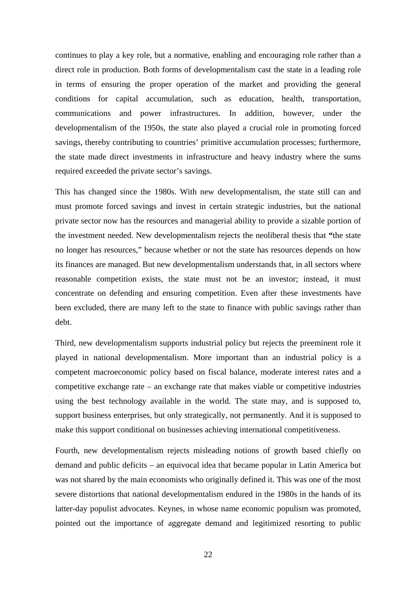continues to play a key role, but a normative, enabling and encouraging role rather than a direct role in production. Both forms of developmentalism cast the state in a leading role in terms of ensuring the proper operation of the market and providing the general conditions for capital accumulation, such as education, health, transportation, communications and power infrastructures. In addition, however, under the developmentalism of the 1950s, the state also played a crucial role in promoting forced savings, thereby contributing to countries' primitive accumulation processes; furthermore, the state made direct investments in infrastructure and heavy industry where the sums required exceeded the private sector's savings.

This has changed since the 1980s. With new developmentalism, the state still can and must promote forced savings and invest in certain strategic industries, but the national private sector now has the resources and managerial ability to provide a sizable portion of the investment needed. New developmentalism rejects the neoliberal thesis that **"**the state no longer has resources," because whether or not the state has resources depends on how its finances are managed. But new developmentalism understands that, in all sectors where reasonable competition exists, the state must not be an investor; instead, it must concentrate on defending and ensuring competition. Even after these investments have been excluded, there are many left to the state to finance with public savings rather than debt.

Third, new developmentalism supports industrial policy but rejects the preeminent role it played in national developmentalism. More important than an industrial policy is a competent macroeconomic policy based on fiscal balance, moderate interest rates and a competitive exchange rate – an exchange rate that makes viable or competitive industries using the best technology available in the world. The state may, and is supposed to, support business enterprises, but only strategically, not permanently. And it is supposed to make this support conditional on businesses achieving international competitiveness.

Fourth, new developmentalism rejects misleading notions of growth based chiefly on demand and public deficits – an equivocal idea that became popular in Latin America but was not shared by the main economists who originally defined it. This was one of the most severe distortions that national developmentalism endured in the 1980s in the hands of its latter-day populist advocates. Keynes, in whose name economic populism was promoted, pointed out the importance of aggregate demand and legitimized resorting to public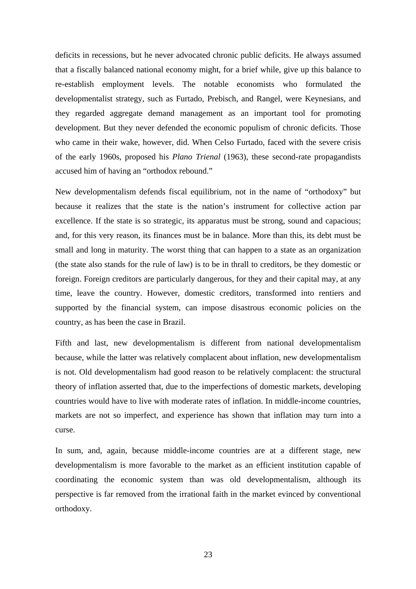deficits in recessions, but he never advocated chronic public deficits. He always assumed that a fiscally balanced national economy might, for a brief while, give up this balance to re-establish employment levels. The notable economists who formulated the developmentalist strategy, such as Furtado, Prebisch, and Rangel, were Keynesians, and they regarded aggregate demand management as an important tool for promoting development. But they never defended the economic populism of chronic deficits. Those who came in their wake, however, did. When Celso Furtado, faced with the severe crisis of the early 1960s, proposed his *Plano Trienal* (1963), these second-rate propagandists accused him of having an "orthodox rebound."

New developmentalism defends fiscal equilibrium, not in the name of "orthodoxy" but because it realizes that the state is the nation's instrument for collective action par excellence. If the state is so strategic, its apparatus must be strong, sound and capacious; and, for this very reason, its finances must be in balance. More than this, its debt must be small and long in maturity. The worst thing that can happen to a state as an organization (the state also stands for the rule of law) is to be in thrall to creditors, be they domestic or foreign. Foreign creditors are particularly dangerous, for they and their capital may, at any time, leave the country. However, domestic creditors, transformed into rentiers and supported by the financial system, can impose disastrous economic policies on the country, as has been the case in Brazil.

Fifth and last, new developmentalism is different from national developmentalism because, while the latter was relatively complacent about inflation, new developmentalism is not. Old developmentalism had good reason to be relatively complacent: the structural theory of inflation asserted that, due to the imperfections of domestic markets, developing countries would have to live with moderate rates of inflation. In middle-income countries, markets are not so imperfect, and experience has shown that inflation may turn into a curse.

In sum, and, again, because middle-income countries are at a different stage, new developmentalism is more favorable to the market as an efficient institution capable of coordinating the economic system than was old developmentalism, although its perspective is far removed from the irrational faith in the market evinced by conventional orthodoxy.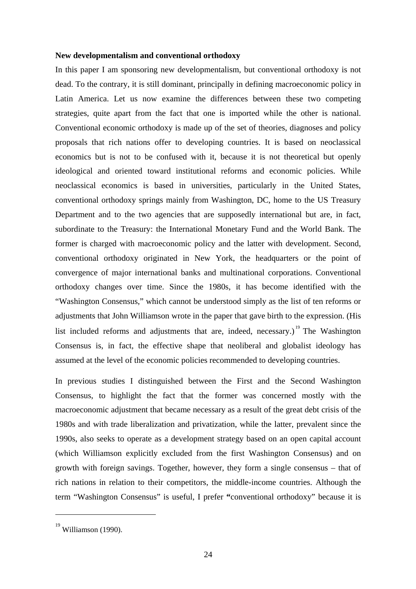#### **New developmentalism and conventional orthodoxy**

In this paper I am sponsoring new developmentalism, but conventional orthodoxy is not dead. To the contrary, it is still dominant, principally in defining macroeconomic policy in Latin America. Let us now examine the differences between these two competing strategies, quite apart from the fact that one is imported while the other is national. Conventional economic orthodoxy is made up of the set of theories, diagnoses and policy proposals that rich nations offer to developing countries. It is based on neoclassical economics but is not to be confused with it, because it is not theoretical but openly ideological and oriented toward institutional reforms and economic policies. While neoclassical economics is based in universities, particularly in the United States, conventional orthodoxy springs mainly from Washington, DC, home to the US Treasury Department and to the two agencies that are supposedly international but are, in fact, subordinate to the Treasury: the International Monetary Fund and the World Bank. The former is charged with macroeconomic policy and the latter with development. Second, conventional orthodoxy originated in New York, the headquarters or the point of convergence of major international banks and multinational corporations. Conventional orthodoxy changes over time. Since the 1980s, it has become identified with the "Washington Consensus," which cannot be understood simply as the list of ten reforms or adjustments that John Williamson wrote in the paper that gave birth to the expression. (His list included reforms and adjustments that are, indeed, necessary.)<sup>19</sup> The Washington Consensus is, in fact, the effective shape that neoliberal and globalist ideology has assumed at the level of the economic policies recommended to developing countries.

In previous studies I distinguished between the First and the Second Washington Consensus, to highlight the fact that the former was concerned mostly with the macroeconomic adjustment that became necessary as a result of the great debt crisis of the 1980s and with trade liberalization and privatization, while the latter, prevalent since the 1990s, also seeks to operate as a development strategy based on an open capital account (which Williamson explicitly excluded from the first Washington Consensus) and on growth with foreign savings. Together, however, they form a single consensus – that of rich nations in relation to their competitors, the middle-income countries. Although the term "Washington Consensus" is useful, I prefer **"**conventional orthodoxy" because it is

 $^{19}$  Williamson (1990).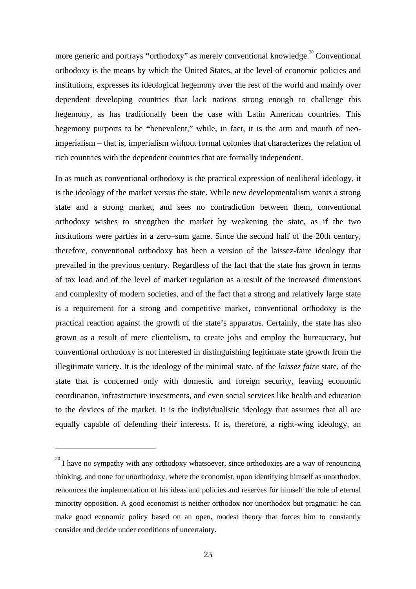more generic and portrays "orthodoxy" as merely conventional knowledge.<sup>20</sup> Conventional orthodoxy is the means by which the United States, at the level of economic policies and institutions, expresses its ideological hegemony over the rest of the world and mainly over dependent developing countries that lack nations strong enough to challenge this hegemony, as has traditionally been the case with Latin American countries. This hegemony purports to be **"**benevolent," while, in fact, it is the arm and mouth of neoimperialism – that is, imperialism without formal colonies that characterizes the relation of rich countries with the dependent countries that are formally independent.

In as much as conventional orthodoxy is the practical expression of neoliberal ideology, it is the ideology of the market versus the state. While new developmentalism wants a strong state and a strong market, and sees no contradiction between them, conventional orthodoxy wishes to strengthen the market by weakening the state, as if the two institutions were parties in a zero–sum game. Since the second half of the 20th century, therefore, conventional orthodoxy has been a version of the laissez-faire ideology that prevailed in the previous century. Regardless of the fact that the state has grown in terms of tax load and of the level of market regulation as a result of the increased dimensions and complexity of modern societies, and of the fact that a strong and relatively large state is a requirement for a strong and competitive market, conventional orthodoxy is the practical reaction against the growth of the state's apparatus. Certainly, the state has also grown as a result of mere clientelism, to create jobs and employ the bureaucracy, but conventional orthodoxy is not interested in distinguishing legitimate state growth from the illegitimate variety. It is the ideology of the minimal state, of the *laissez faire* state, of the state that is concerned only with domestic and foreign security, leaving economic coordination, infrastructure investments, and even social services like health and education to the devices of the market. It is the individualistic ideology that assumes that all are equally capable of defending their interests. It is, therefore, a right-wing ideology, an

 $20<sup>20</sup>$  I have no sympathy with any orthodoxy whatsoever, since orthodoxies are a way of renouncing thinking, and none for unorthodoxy, where the economist, upon identifying himself as unorthodox, renounces the implementation of his ideas and policies and reserves for himself the role of eternal minority opposition. A good economist is neither orthodox nor unorthodox but pragmatic: he can make good economic policy based on an open, modest theory that forces him to constantly consider and decide under conditions of uncertainty.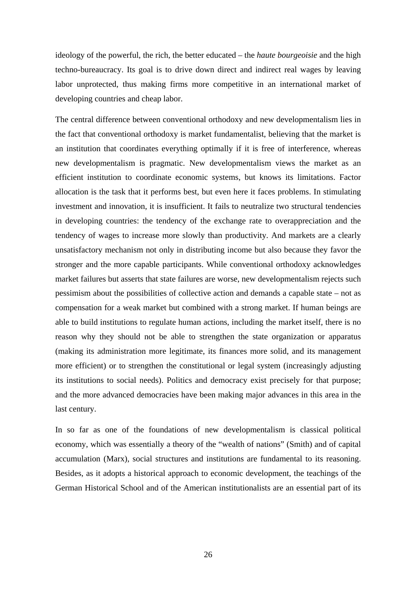ideology of the powerful, the rich, the better educated – the *haute bourgeoisie* and the high techno-bureaucracy. Its goal is to drive down direct and indirect real wages by leaving labor unprotected, thus making firms more competitive in an international market of developing countries and cheap labor.

The central difference between conventional orthodoxy and new developmentalism lies in the fact that conventional orthodoxy is market fundamentalist, believing that the market is an institution that coordinates everything optimally if it is free of interference, whereas new developmentalism is pragmatic. New developmentalism views the market as an efficient institution to coordinate economic systems, but knows its limitations. Factor allocation is the task that it performs best, but even here it faces problems. In stimulating investment and innovation, it is insufficient. It fails to neutralize two structural tendencies in developing countries: the tendency of the exchange rate to overappreciation and the tendency of wages to increase more slowly than productivity. And markets are a clearly unsatisfactory mechanism not only in distributing income but also because they favor the stronger and the more capable participants. While conventional orthodoxy acknowledges market failures but asserts that state failures are worse, new developmentalism rejects such pessimism about the possibilities of collective action and demands a capable state – not as compensation for a weak market but combined with a strong market. If human beings are able to build institutions to regulate human actions, including the market itself, there is no reason why they should not be able to strengthen the state organization or apparatus (making its administration more legitimate, its finances more solid, and its management more efficient) or to strengthen the constitutional or legal system (increasingly adjusting its institutions to social needs). Politics and democracy exist precisely for that purpose; and the more advanced democracies have been making major advances in this area in the last century.

In so far as one of the foundations of new developmentalism is classical political economy, which was essentially a theory of the "wealth of nations" (Smith) and of capital accumulation (Marx), social structures and institutions are fundamental to its reasoning. Besides, as it adopts a historical approach to economic development, the teachings of the German Historical School and of the American institutionalists are an essential part of its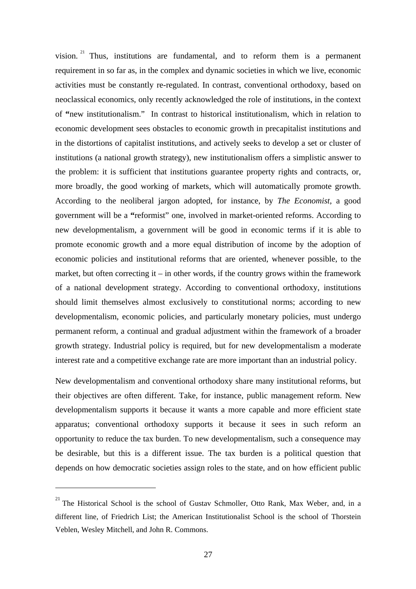vision.<sup>21</sup> Thus, institutions are fundamental, and to reform them is a permanent requirement in so far as, in the complex and dynamic societies in which we live, economic activities must be constantly re-regulated. In contrast, conventional orthodoxy, based on neoclassical economics, only recently acknowledged the role of institutions, in the context of **"**new institutionalism." In contrast to historical institutionalism, which in relation to economic development sees obstacles to economic growth in precapitalist institutions and in the distortions of capitalist institutions, and actively seeks to develop a set or cluster of institutions (a national growth strategy), new institutionalism offers a simplistic answer to the problem: it is sufficient that institutions guarantee property rights and contracts, or, more broadly, the good working of markets, which will automatically promote growth. According to the neoliberal jargon adopted, for instance, by *The Economist*, a good government will be a **"**reformist" one, involved in market-oriented reforms. According to new developmentalism, a government will be good in economic terms if it is able to promote economic growth and a more equal distribution of income by the adoption of economic policies and institutional reforms that are oriented, whenever possible, to the market, but often correcting it – in other words, if the country grows within the framework of a national development strategy. According to conventional orthodoxy, institutions should limit themselves almost exclusively to constitutional norms; according to new developmentalism, economic policies, and particularly monetary policies, must undergo permanent reform, a continual and gradual adjustment within the framework of a broader growth strategy. Industrial policy is required, but for new developmentalism a moderate interest rate and a competitive exchange rate are more important than an industrial policy.

New developmentalism and conventional orthodoxy share many institutional reforms, but their objectives are often different. Take, for instance, public management reform. New developmentalism supports it because it wants a more capable and more efficient state apparatus; conventional orthodoxy supports it because it sees in such reform an opportunity to reduce the tax burden. To new developmentalism, such a consequence may be desirable, but this is a different issue. The tax burden is a political question that depends on how democratic societies assign roles to the state, and on how efficient public

 $21$  The Historical School is the school of Gustav Schmoller, Otto Rank, Max Weber, and, in a different line, of Friedrich List; the American Institutionalist School is the school of Thorstein Veblen, Wesley Mitchell, and John R. Commons.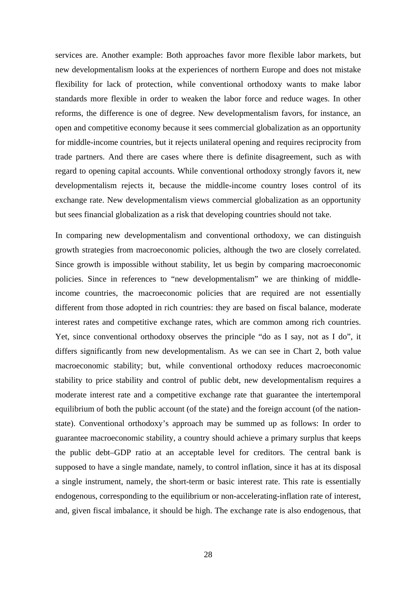services are. Another example: Both approaches favor more flexible labor markets, but new developmentalism looks at the experiences of northern Europe and does not mistake flexibility for lack of protection, while conventional orthodoxy wants to make labor standards more flexible in order to weaken the labor force and reduce wages. In other reforms, the difference is one of degree. New developmentalism favors, for instance, an open and competitive economy because it sees commercial globalization as an opportunity for middle-income countries, but it rejects unilateral opening and requires reciprocity from trade partners. And there are cases where there is definite disagreement, such as with regard to opening capital accounts. While conventional orthodoxy strongly favors it, new developmentalism rejects it, because the middle-income country loses control of its exchange rate. New developmentalism views commercial globalization as an opportunity but sees financial globalization as a risk that developing countries should not take.

In comparing new developmentalism and conventional orthodoxy, we can distinguish growth strategies from macroeconomic policies, although the two are closely correlated. Since growth is impossible without stability, let us begin by comparing macroeconomic policies. Since in references to "new developmentalism" we are thinking of middleincome countries, the macroeconomic policies that are required are not essentially different from those adopted in rich countries: they are based on fiscal balance, moderate interest rates and competitive exchange rates, which are common among rich countries. Yet, since conventional orthodoxy observes the principle "do as I say, not as I do", it differs significantly from new developmentalism. As we can see in Chart 2, both value macroeconomic stability; but, while conventional orthodoxy reduces macroeconomic stability to price stability and control of public debt, new developmentalism requires a moderate interest rate and a competitive exchange rate that guarantee the intertemporal equilibrium of both the public account (of the state) and the foreign account (of the nationstate). Conventional orthodoxy's approach may be summed up as follows: In order to guarantee macroeconomic stability, a country should achieve a primary surplus that keeps the public debt–GDP ratio at an acceptable level for creditors. The central bank is supposed to have a single mandate, namely, to control inflation, since it has at its disposal a single instrument, namely, the short-term or basic interest rate. This rate is essentially endogenous, corresponding to the equilibrium or non-accelerating-inflation rate of interest, and, given fiscal imbalance, it should be high. The exchange rate is also endogenous, that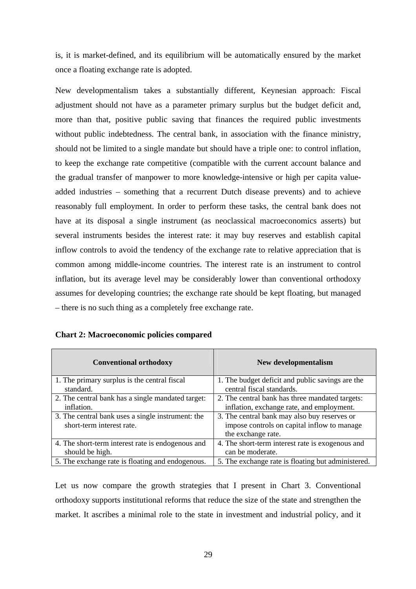is, it is market-defined, and its equilibrium will be automatically ensured by the market once a floating exchange rate is adopted.

New developmentalism takes a substantially different, Keynesian approach: Fiscal adjustment should not have as a parameter primary surplus but the budget deficit and, more than that, positive public saving that finances the required public investments without public indebtedness. The central bank, in association with the finance ministry, should not be limited to a single mandate but should have a triple one: to control inflation, to keep the exchange rate competitive (compatible with the current account balance and the gradual transfer of manpower to more knowledge-intensive or high per capita valueadded industries – something that a recurrent Dutch disease prevents) and to achieve reasonably full employment. In order to perform these tasks, the central bank does not have at its disposal a single instrument (as neoclassical macroeconomics asserts) but several instruments besides the interest rate: it may buy reserves and establish capital inflow controls to avoid the tendency of the exchange rate to relative appreciation that is common among middle-income countries. The interest rate is an instrument to control inflation, but its average level may be considerably lower than conventional orthodoxy assumes for developing countries; the exchange rate should be kept floating, but managed – there is no such thing as a completely free exchange rate.

| <b>Conventional orthodoxy</b>                     | New developmentalism                               |
|---------------------------------------------------|----------------------------------------------------|
| 1. The primary surplus is the central fiscal      | 1. The budget deficit and public savings are the   |
| standard.                                         | central fiscal standards.                          |
| 2. The central bank has a single mandated target: | 2. The central bank has three mandated targets:    |
| inflation.                                        | inflation, exchange rate, and employment.          |
| 3. The central bank uses a single instrument: the | 3. The central bank may also buy reserves or       |
| short-term interest rate.                         | impose controls on capital inflow to manage        |
|                                                   | the exchange rate.                                 |
| 4. The short-term interest rate is endogenous and | 4. The short-term interest rate is exogenous and   |
| should be high.                                   | can be moderate.                                   |
| 5. The exchange rate is floating and endogenous.  | 5. The exchange rate is floating but administered. |

| <b>Chart 2: Macroeconomic policies compared</b> |
|-------------------------------------------------|
|                                                 |

Let us now compare the growth strategies that I present in Chart 3. Conventional orthodoxy supports institutional reforms that reduce the size of the state and strengthen the market. It ascribes a minimal role to the state in investment and industrial policy, and it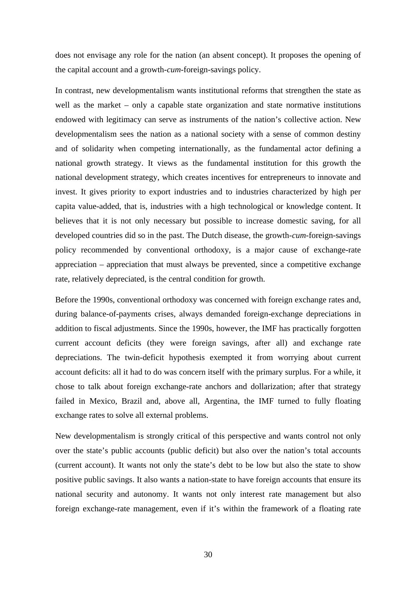does not envisage any role for the nation (an absent concept). It proposes the opening of the capital account and a growth-*cum*-foreign-savings policy.

In contrast, new developmentalism wants institutional reforms that strengthen the state as well as the market – only a capable state organization and state normative institutions endowed with legitimacy can serve as instruments of the nation's collective action. New developmentalism sees the nation as a national society with a sense of common destiny and of solidarity when competing internationally, as the fundamental actor defining a national growth strategy. It views as the fundamental institution for this growth the national development strategy, which creates incentives for entrepreneurs to innovate and invest. It gives priority to export industries and to industries characterized by high per capita value-added, that is, industries with a high technological or knowledge content. It believes that it is not only necessary but possible to increase domestic saving, for all developed countries did so in the past. The Dutch disease, the growth-*cum*-foreign-savings policy recommended by conventional orthodoxy, is a major cause of exchange-rate appreciation – appreciation that must always be prevented, since a competitive exchange rate, relatively depreciated, is the central condition for growth.

Before the 1990s, conventional orthodoxy was concerned with foreign exchange rates and, during balance-of-payments crises, always demanded foreign-exchange depreciations in addition to fiscal adjustments. Since the 1990s, however, the IMF has practically forgotten current account deficits (they were foreign savings, after all) and exchange rate depreciations. The twin-deficit hypothesis exempted it from worrying about current account deficits: all it had to do was concern itself with the primary surplus. For a while, it chose to talk about foreign exchange-rate anchors and dollarization; after that strategy failed in Mexico, Brazil and, above all, Argentina, the IMF turned to fully floating exchange rates to solve all external problems.

New developmentalism is strongly critical of this perspective and wants control not only over the state's public accounts (public deficit) but also over the nation's total accounts (current account). It wants not only the state's debt to be low but also the state to show positive public savings. It also wants a nation-state to have foreign accounts that ensure its national security and autonomy. It wants not only interest rate management but also foreign exchange-rate management, even if it's within the framework of a floating rate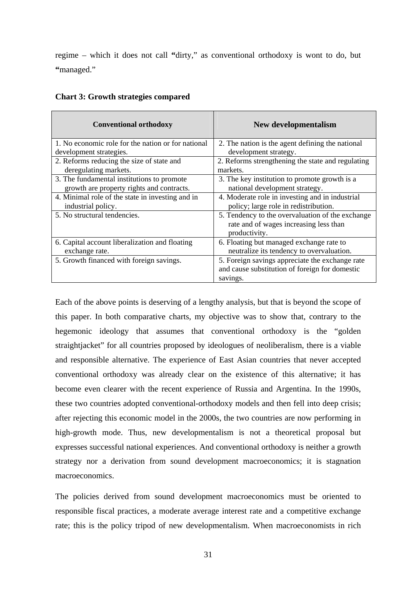regime – which it does not call **"**dirty," as conventional orthodoxy is wont to do, but **"**managed."

| <b>Conventional orthodoxy</b>                      | New developmentalism                              |
|----------------------------------------------------|---------------------------------------------------|
| 1. No economic role for the nation or for national | 2. The nation is the agent defining the national  |
| development strategies.                            | development strategy.                             |
| 2. Reforms reducing the size of state and          | 2. Reforms strengthening the state and regulating |
| deregulating markets.                              | markets.                                          |
| 3. The fundamental institutions to promote         | 3. The key institution to promote growth is a     |
| growth are property rights and contracts.          | national development strategy.                    |
| 4. Minimal role of the state in investing and in   | 4. Moderate role in investing and in industrial   |
| industrial policy.                                 | policy; large role in redistribution.             |
| 5. No structural tendencies.                       | 5. Tendency to the overvaluation of the exchange  |
|                                                    | rate and of wages increasing less than            |
|                                                    | productivity.                                     |
| 6. Capital account liberalization and floating     | 6. Floating but managed exchange rate to          |
| exchange rate.                                     | neutralize its tendency to overvaluation.         |
| 5. Growth financed with foreign savings.           | 5. Foreign savings appreciate the exchange rate   |
|                                                    | and cause substitution of foreign for domestic    |
|                                                    | savings.                                          |

**Chart 3: Growth strategies compared** 

Each of the above points is deserving of a lengthy analysis, but that is beyond the scope of this paper. In both comparative charts, my objective was to show that, contrary to the hegemonic ideology that assumes that conventional orthodoxy is the "golden straightjacket" for all countries proposed by ideologues of neoliberalism, there is a viable and responsible alternative. The experience of East Asian countries that never accepted conventional orthodoxy was already clear on the existence of this alternative; it has become even clearer with the recent experience of Russia and Argentina. In the 1990s, these two countries adopted conventional-orthodoxy models and then fell into deep crisis; after rejecting this economic model in the 2000s, the two countries are now performing in high-growth mode. Thus, new developmentalism is not a theoretical proposal but expresses successful national experiences. And conventional orthodoxy is neither a growth strategy nor a derivation from sound development macroeconomics; it is stagnation macroeconomics.

The policies derived from sound development macroeconomics must be oriented to responsible fiscal practices, a moderate average interest rate and a competitive exchange rate; this is the policy tripod of new developmentalism. When macroeconomists in rich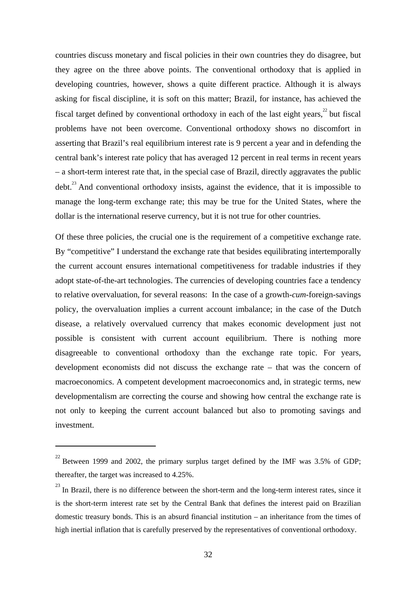countries discuss monetary and fiscal policies in their own countries they do disagree, but they agree on the three above points. The conventional orthodoxy that is applied in developing countries, however, shows a quite different practice. Although it is always asking for fiscal discipline, it is soft on this matter; Brazil, for instance, has achieved the fiscal target defined by conventional orthodoxy in each of the last eight years, $^{22}$  but fiscal problems have not been overcome. Conventional orthodoxy shows no discomfort in asserting that Brazil's real equilibrium interest rate is 9 percent a year and in defending the central bank's interest rate policy that has averaged 12 percent in real terms in recent years – a short-term interest rate that, in the special case of Brazil, directly aggravates the public debt.<sup>23</sup> And conventional orthodoxy insists, against the evidence, that it is impossible to manage the long-term exchange rate; this may be true for the United States, where the dollar is the international reserve currency, but it is not true for other countries.

Of these three policies, the crucial one is the requirement of a competitive exchange rate. By "competitive" I understand the exchange rate that besides equilibrating intertemporally the current account ensures international competitiveness for tradable industries if they adopt state-of-the-art technologies. The currencies of developing countries face a tendency to relative overvaluation, for several reasons: In the case of a growth-*cum*-foreign-savings policy, the overvaluation implies a current account imbalance; in the case of the Dutch disease, a relatively overvalued currency that makes economic development just not possible is consistent with current account equilibrium. There is nothing more disagreeable to conventional orthodoxy than the exchange rate topic. For years, development economists did not discuss the exchange rate – that was the concern of macroeconomics. A competent development macroeconomics and, in strategic terms, new developmentalism are correcting the course and showing how central the exchange rate is not only to keeping the current account balanced but also to promoting savings and investment.

<sup>&</sup>lt;sup>22</sup> Between 1999 and 2002, the primary surplus target defined by the IMF was 3.5% of GDP; thereafter, the target was increased to 4.25%.

 $^{23}$  In Brazil, there is no difference between the short-term and the long-term interest rates, since it is the short-term interest rate set by the Central Bank that defines the interest paid on Brazilian domestic treasury bonds. This is an absurd financial institution – an inheritance from the times of high inertial inflation that is carefully preserved by the representatives of conventional orthodoxy.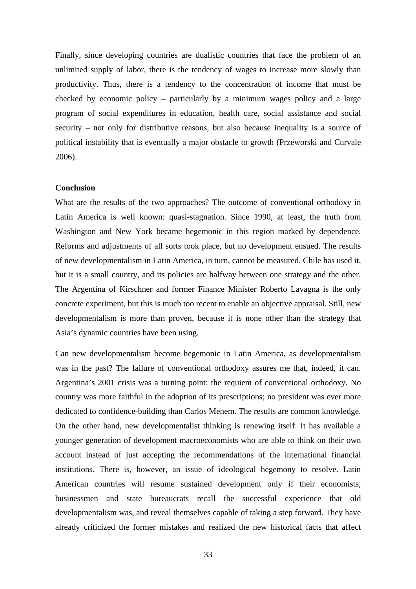Finally, since developing countries are dualistic countries that face the problem of an unlimited supply of labor, there is the tendency of wages to increase more slowly than productivity. Thus, there is a tendency to the concentration of income that must be checked by economic policy – particularly by a minimum wages policy and a large program of social expenditures in education, health care, social assistance and social security – not only for distributive reasons, but also because inequality is a source of political instability that is eventually a major obstacle to growth (Przeworski and Curvale 2006).

#### **Conclusion**

What are the results of the two approaches? The outcome of conventional orthodoxy in Latin America is well known: quasi-stagnation. Since 1990, at least, the truth from Washington and New York became hegemonic in this region marked by dependence. Reforms and adjustments of all sorts took place, but no development ensued. The results of new developmentalism in Latin America, in turn, cannot be measured. Chile has used it, but it is a small country, and its policies are halfway between one strategy and the other. The Argentina of Kirschner and former Finance Minister Roberto Lavagna is the only concrete experiment, but this is much too recent to enable an objective appraisal. Still, new developmentalism is more than proven, because it is none other than the strategy that Asia's dynamic countries have been using.

Can new developmentalism become hegemonic in Latin America, as developmentalism was in the past? The failure of conventional orthodoxy assures me that, indeed, it can. Argentina's 2001 crisis was a turning point: the requiem of conventional orthodoxy. No country was more faithful in the adoption of its prescriptions; no president was ever more dedicated to confidence-building than Carlos Menem. The results are common knowledge. On the other hand, new developmentalist thinking is renewing itself. It has available a younger generation of development macroeconomists who are able to think on their own account instead of just accepting the recommendations of the international financial institutions. There is, however, an issue of ideological hegemony to resolve. Latin American countries will resume sustained development only if their economists, businessmen and state bureaucrats recall the successful experience that old developmentalism was, and reveal themselves capable of taking a step forward. They have already criticized the former mistakes and realized the new historical facts that affect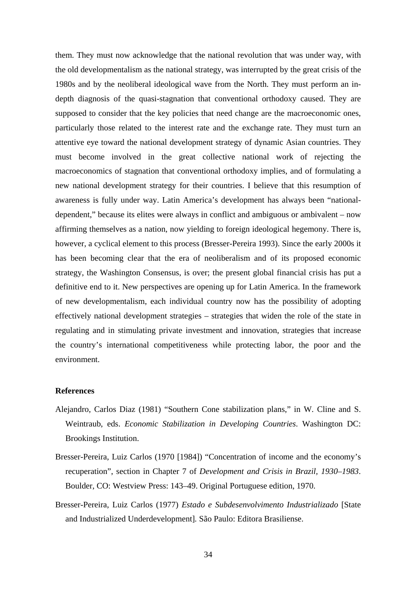them. They must now acknowledge that the national revolution that was under way, with the old developmentalism as the national strategy, was interrupted by the great crisis of the 1980s and by the neoliberal ideological wave from the North. They must perform an indepth diagnosis of the quasi-stagnation that conventional orthodoxy caused. They are supposed to consider that the key policies that need change are the macroeconomic ones, particularly those related to the interest rate and the exchange rate. They must turn an attentive eye toward the national development strategy of dynamic Asian countries. They must become involved in the great collective national work of rejecting the macroeconomics of stagnation that conventional orthodoxy implies, and of formulating a new national development strategy for their countries. I believe that this resumption of awareness is fully under way. Latin America's development has always been "nationaldependent," because its elites were always in conflict and ambiguous or ambivalent – now affirming themselves as a nation, now yielding to foreign ideological hegemony. There is, however, a cyclical element to this process (Bresser-Pereira 1993). Since the early 2000s it has been becoming clear that the era of neoliberalism and of its proposed economic strategy, the Washington Consensus, is over; the present global financial crisis has put a definitive end to it. New perspectives are opening up for Latin America. In the framework of new developmentalism, each individual country now has the possibility of adopting effectively national development strategies – strategies that widen the role of the state in regulating and in stimulating private investment and innovation, strategies that increase the country's international competitiveness while protecting labor, the poor and the environment.

## **References**

- Alejandro, Carlos Diaz (1981) "Southern Cone stabilization plans," in W. Cline and S. Weintraub, eds. *Economic Stabilization in Developing Countries*. Washington DC: Brookings Institution.
- Bresser-Pereira, Luiz Carlos (1970 [1984]) "Concentration of income and the economy's recuperation", section in Chapter 7 of *Development and Crisis in Brazil, 1930*–*1983*. Boulder, CO: Westview Press: 143–49. Original Portuguese edition, 1970.
- Bresser-Pereira, Luiz Carlos (1977) *Estado e Subdesenvolvimento Industrializado* [State and Industrialized Underdevelopment]*.* São Paulo: Editora Brasiliense.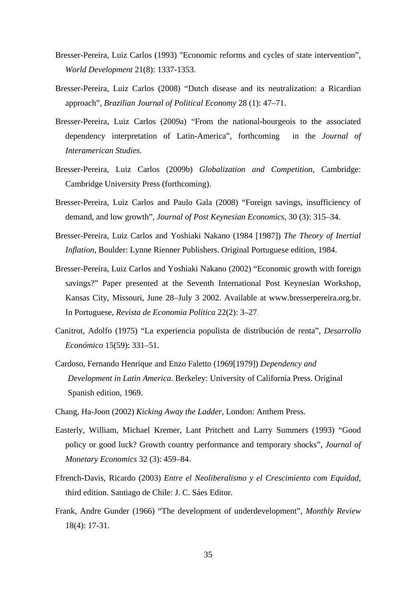- Bresser-Pereira, Luiz Carlos (1993) "Economic reforms and cycles of state intervention", *World Development* 21(8): 1337-1353.
- Bresser-Pereira, Luiz Carlos (2008) "Dutch disease and its neutralization: a Ricardian approach", *Brazilian Journal of Political Economy* 28 (1): 47–71.
- Bresser-Pereira, Luiz Carlos (2009a) "From the national-bourgeois to the associated dependency interpretation of Latin-America", forthcoming in the *Journal of Interamerican Studies*.
- Bresser-Pereira, Luiz Carlos (2009b) *Globalization and Competition*, Cambridge: Cambridge University Press (forthcoming).
- Bresser-Pereira, Luiz Carlos and Paulo Gala (2008) "Foreign savings, insufficiency of demand, and low growth", *Journal of Post Keynesian Economics*, 30 (3): 315–34.
- Bresser-Pereira, Luiz Carlos and Yoshiaki Nakano (1984 [1987]) *The Theory of Inertial Inflation*, Boulder: Lynne Rienner Publishers. Original Portuguese edition, 1984.
- Bresser-Pereira, Luiz Carlos and Yoshiaki Nakano (2002) "Economic growth with foreign savings?" Paper presented at the Seventh International Post Keynesian Workshop, Kansas City, Missouri, June 28–July 3 2002. Available at www.bresserpereira.org.br. In Portuguese, *Revista de Economia Política* 22(2): 3–27.
- Canitrot, Adolfo (1975) "La experiencia populista de distribución de renta", *Desarrollo Económico* 15(59): 331–51.
- Cardoso, Fernando Henrique and Enzo Faletto (1969[1979]) *Dependency and Development in Latin America.* Berkeley: University of California Press. Original Spanish edition, 1969.
- Chang, Ha-Joon (2002) *Kicking Away the Ladder*, London: Anthem Press.
- Easterly, William, Michael Kremer, Lant Pritchett and Larry Summers (1993) "Good policy or good luck? Growth country performance and temporary shocks", *Journal of Monetary Economics* 32 (3): 459–84.
- Ffrench-Davis, Ricardo (2003) *Entre el Neoliberalismo y el Crescimiento com Equidad,*  third edition. Santiago de Chile: J. C. Sáes Editor.
- Frank, Andre Gunder (1966) "The development of underdevelopment", *Monthly Review* 18(4): 17-31.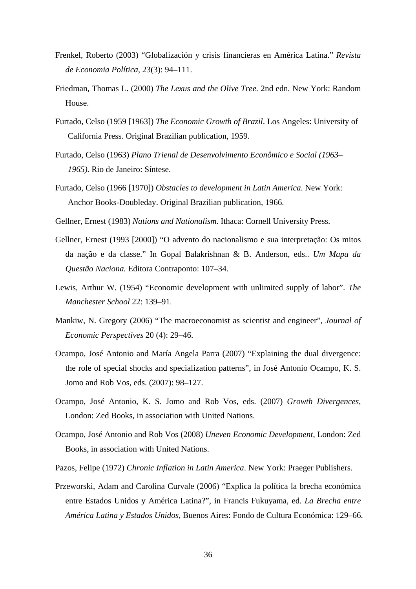- Frenkel, Roberto (2003) "Globalización y crisis financieras en América Latina." *Revista de Economia Política*, 23(3): 94–111.
- Friedman, Thomas L. (2000) *The Lexus and the Olive Tree.* 2nd edn. New York: Random House.
- Furtado, Celso (1959 [1963]) *The Economic Growth of Brazil*. Los Angeles: University of California Press. Original Brazilian publication, 1959.
- Furtado, Celso (1963) *Plano Trienal de Desenvolvimento Econômico e Social (1963 1965).* Rio de Janeiro: Síntese.
- Furtado, Celso (1966 [1970]) *Obstacles to development in Latin America*. New York: Anchor Books-Doubleday. Original Brazilian publication, 1966.
- Gellner, Ernest (1983) *Nations and Nationalism.* Ithaca: Cornell University Press.
- Gellner, Ernest (1993 [2000]) "O advento do nacionalismo e sua interpretação: Os mitos da nação e da classe." In Gopal Balakrishnan & B. Anderson, eds.. *Um Mapa da Questão Naciona.* Editora Contraponto: 107–34.
- Lewis, Arthur W. (1954) "Economic development with unlimited supply of labor". *The Manchester School* 22: 139–91.
- Mankiw, N. Gregory (2006) "The macroeconomist as scientist and engineer", *Journal of Economic Perspectives* 20 (4): 29–46.
- Ocampo, José Antonio and María Angela Parra (2007) "Explaining the dual divergence: the role of special shocks and specialization patterns", in José Antonio Ocampo, K. S. Jomo and Rob Vos, eds. (2007): 98–127.
- Ocampo, José Antonio, K. S. Jomo and Rob Vos, eds. (2007) *Growth Divergences*, London: Zed Books, in association with United Nations.
- Ocampo, José Antonio and Rob Vos (2008) *Uneven Economic Development*, London: Zed Books, in association with United Nations.
- Pazos, Felipe (1972) *Chronic Inflation in Latin America*. New York: Praeger Publishers.
- Przeworski, Adam and Carolina Curvale (2006) "Explica la política la brecha económica entre Estados Unidos y América Latina?", in Francis Fukuyama, ed. *La Brecha entre América Latina y Estados Unidos*, Buenos Aires: Fondo de Cultura Económica: 129–66.